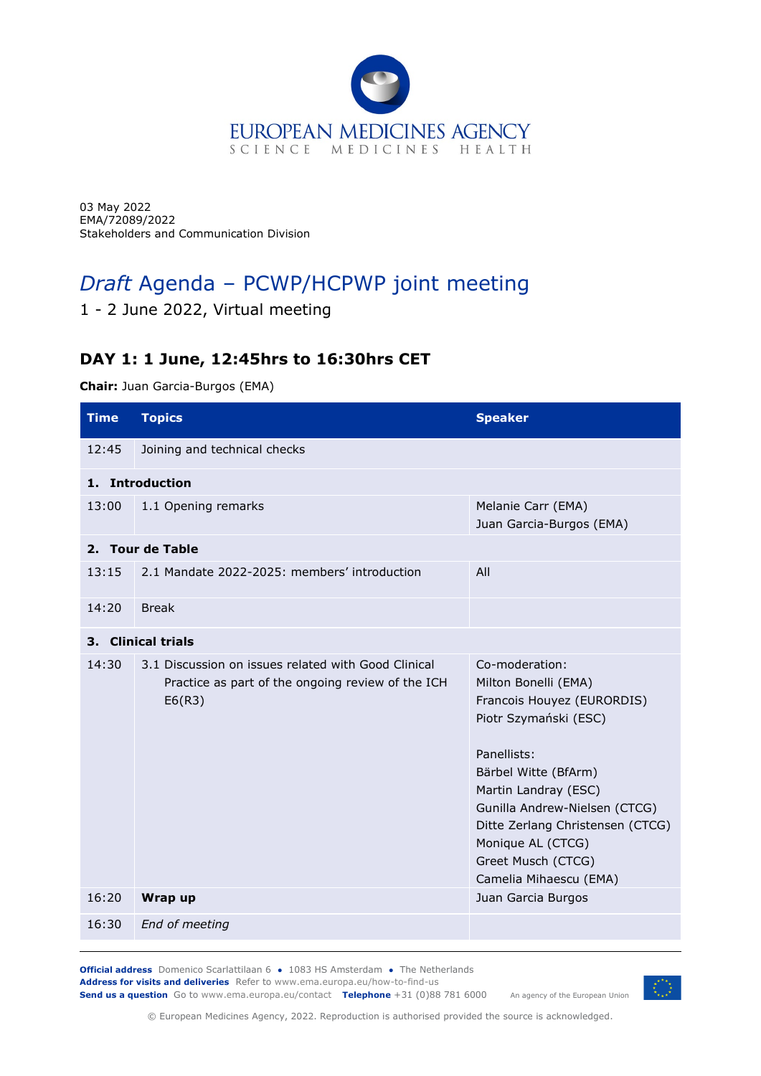

03 May 2022 EMA/72089/2022 Stakeholders and Communication Division

## *Draft* Agenda – PCWP/HCPWP joint meeting

## 1 - 2 June 2022, Virtual meeting

## **DAY 1: 1 June, 12:45hrs to 16:30hrs CET**

**Chair:** Juan Garcia-Burgos (EMA)

| <b>Time</b>                  | <b>Topics</b>                                                                                                      | <b>Speaker</b>                                                                                                                                                                                                                                                                                         |  |
|------------------------------|--------------------------------------------------------------------------------------------------------------------|--------------------------------------------------------------------------------------------------------------------------------------------------------------------------------------------------------------------------------------------------------------------------------------------------------|--|
| 12:45                        | Joining and technical checks                                                                                       |                                                                                                                                                                                                                                                                                                        |  |
| 1. Introduction              |                                                                                                                    |                                                                                                                                                                                                                                                                                                        |  |
| 13:00                        | 1.1 Opening remarks                                                                                                | Melanie Carr (EMA)<br>Juan Garcia-Burgos (EMA)                                                                                                                                                                                                                                                         |  |
| 2. Tour de Table             |                                                                                                                    |                                                                                                                                                                                                                                                                                                        |  |
| 13:15                        | 2.1 Mandate 2022-2025: members' introduction                                                                       | All                                                                                                                                                                                                                                                                                                    |  |
| 14:20                        | <b>Break</b>                                                                                                       |                                                                                                                                                                                                                                                                                                        |  |
| <b>Clinical trials</b><br>З. |                                                                                                                    |                                                                                                                                                                                                                                                                                                        |  |
| 14:30                        | 3.1 Discussion on issues related with Good Clinical<br>Practice as part of the ongoing review of the ICH<br>E6(R3) | Co-moderation:<br>Milton Bonelli (EMA)<br>Francois Houyez (EURORDIS)<br>Piotr Szymański (ESC)<br>Panellists:<br>Bärbel Witte (BfArm)<br>Martin Landray (ESC)<br>Gunilla Andrew-Nielsen (CTCG)<br>Ditte Zerlang Christensen (CTCG)<br>Monique AL (CTCG)<br>Greet Musch (CTCG)<br>Camelia Mihaescu (EMA) |  |
| 16:20                        | Wrap up                                                                                                            | Juan Garcia Burgos                                                                                                                                                                                                                                                                                     |  |
| 16:30                        | End of meeting                                                                                                     |                                                                                                                                                                                                                                                                                                        |  |

**Official address** Domenico Scarlattilaan 6 **●** 1083 HS Amsterdam **●** The Netherlands **Address for visits and deliveries** Refer to www.ema.europa.eu/how-to-find-us **Send us a question** Go to www.ema.europa.eu/contact **Telephone** +31 (0)88 781 6000



An agency of the European Union

© European Medicines Agency, 2022. Reproduction is authorised provided the source is acknowledged.